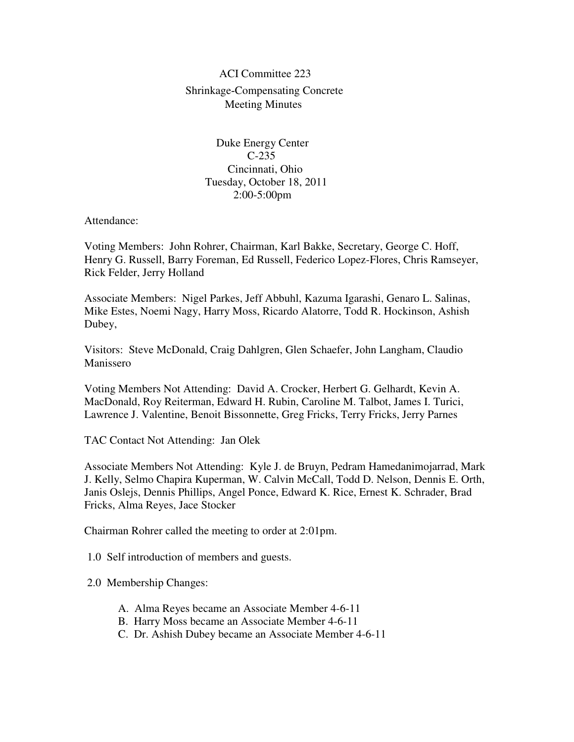## ACI Committee 223 Shrinkage-Compensating Concrete Meeting Minutes

 Duke Energy Center C-235 Cincinnati, Ohio Tuesday, October 18, 2011 2:00-5:00pm

Attendance:

Voting Members: John Rohrer, Chairman, Karl Bakke, Secretary, George C. Hoff, Henry G. Russell, Barry Foreman, Ed Russell, Federico Lopez-Flores, Chris Ramseyer, Rick Felder, Jerry Holland

Associate Members: Nigel Parkes, Jeff Abbuhl, Kazuma Igarashi, Genaro L. Salinas, Mike Estes, Noemi Nagy, Harry Moss, Ricardo Alatorre, Todd R. Hockinson, Ashish Dubey,

Visitors: Steve McDonald, Craig Dahlgren, Glen Schaefer, John Langham, Claudio Manissero

Voting Members Not Attending: David A. Crocker, Herbert G. Gelhardt, Kevin A. MacDonald, Roy Reiterman, Edward H. Rubin, Caroline M. Talbot, James I. Turici, Lawrence J. Valentine, Benoit Bissonnette, Greg Fricks, Terry Fricks, Jerry Parnes

TAC Contact Not Attending: Jan Olek

Associate Members Not Attending: Kyle J. de Bruyn, Pedram Hamedanimojarrad, Mark J. Kelly, Selmo Chapira Kuperman, W. Calvin McCall, Todd D. Nelson, Dennis E. Orth, Janis Oslejs, Dennis Phillips, Angel Ponce, Edward K. Rice, Ernest K. Schrader, Brad Fricks, Alma Reyes, Jace Stocker

Chairman Rohrer called the meeting to order at 2:01pm.

1.0 Self introduction of members and guests.

2.0 Membership Changes:

- A. Alma Reyes became an Associate Member 4-6-11
- B. Harry Moss became an Associate Member 4-6-11
- C. Dr. Ashish Dubey became an Associate Member 4-6-11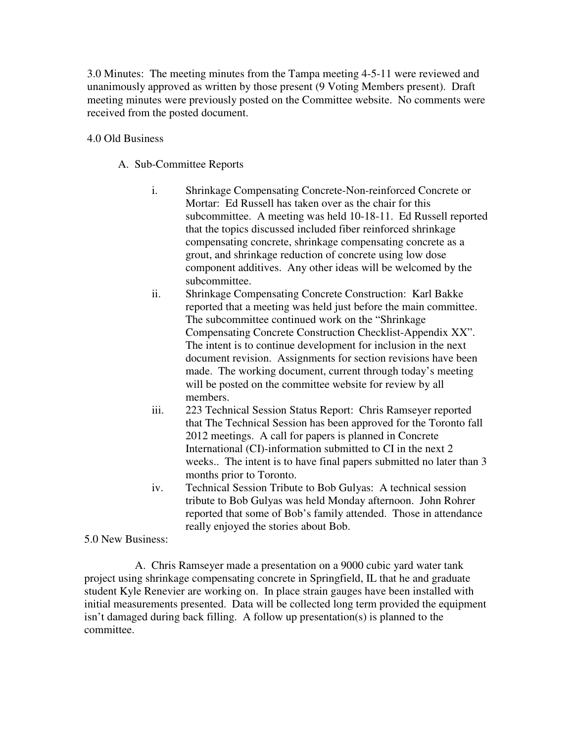3.0 Minutes: The meeting minutes from the Tampa meeting 4-5-11 were reviewed and unanimously approved as written by those present (9 Voting Members present). Draft meeting minutes were previously posted on the Committee website. No comments were received from the posted document.

## 4.0 Old Business

A. Sub-Committee Reports

- i. Shrinkage Compensating Concrete-Non-reinforced Concrete or Mortar: Ed Russell has taken over as the chair for this subcommittee. A meeting was held 10-18-11. Ed Russell reported that the topics discussed included fiber reinforced shrinkage compensating concrete, shrinkage compensating concrete as a grout, and shrinkage reduction of concrete using low dose component additives. Any other ideas will be welcomed by the subcommittee.
- ii. Shrinkage Compensating Concrete Construction: Karl Bakke reported that a meeting was held just before the main committee. The subcommittee continued work on the "Shrinkage Compensating Concrete Construction Checklist-Appendix XX". The intent is to continue development for inclusion in the next document revision. Assignments for section revisions have been made. The working document, current through today's meeting will be posted on the committee website for review by all members.
- iii. 223 Technical Session Status Report: Chris Ramseyer reported that The Technical Session has been approved for the Toronto fall 2012 meetings. A call for papers is planned in Concrete International (CI)-information submitted to CI in the next 2 weeks.. The intent is to have final papers submitted no later than 3 months prior to Toronto.
- iv. Technical Session Tribute to Bob Gulyas: A technical session tribute to Bob Gulyas was held Monday afternoon. John Rohrer reported that some of Bob's family attended. Those in attendance really enjoyed the stories about Bob.

5.0 New Business:

 A. Chris Ramseyer made a presentation on a 9000 cubic yard water tank project using shrinkage compensating concrete in Springfield, IL that he and graduate student Kyle Renevier are working on. In place strain gauges have been installed with initial measurements presented. Data will be collected long term provided the equipment isn't damaged during back filling. A follow up presentation(s) is planned to the committee.